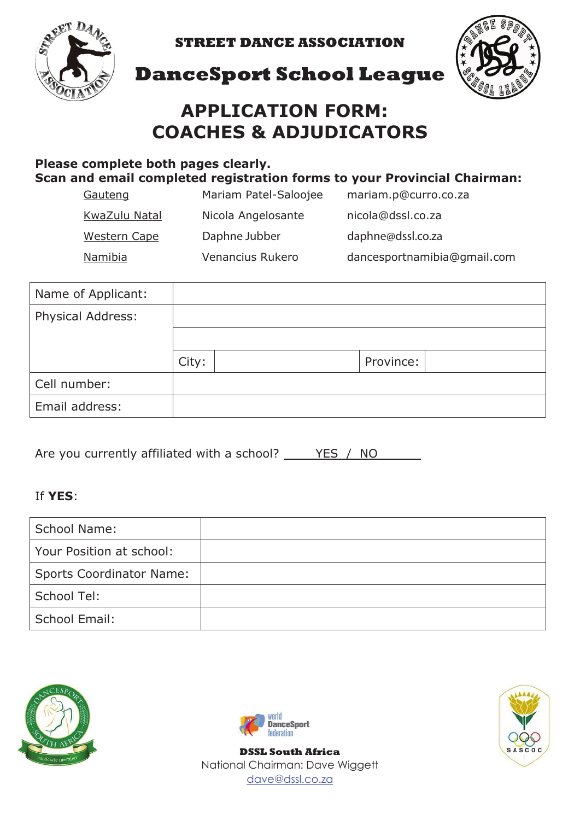

**STREET DANCE ASSOCIATION**



### **DanceSport School League**

## **APPLICATION FORM: COACHES & ADJUDICATORS**

#### **Please complete both pages clearly. Scan and email completed registration forms to your Provincial Chairman:**

| Gauteng             | Mariam Patel-Saloojee | mariam.p@curro.co.za        |
|---------------------|-----------------------|-----------------------------|
| KwaZulu Natal       | Nicola Angelosante    | nicola@dssl.co.za           |
| <b>Western Cape</b> | Daphne Jubber         | daphne@dssl.co.za           |
| Namibia             | Venancius Rukero      | dancesportnamibia@gmail.com |

| Name of Applicant: |       |           |  |
|--------------------|-------|-----------|--|
| Physical Address:  |       |           |  |
|                    |       |           |  |
|                    | City: | Province: |  |
| Cell number:       |       |           |  |
| Email address:     |       |           |  |

Are you currently affiliated with a school? YES / NO

#### If **YES**:

| School Name:                    |  |
|---------------------------------|--|
| Your Position at school:        |  |
| <b>Sports Coordinator Name:</b> |  |
| School Tel:                     |  |
| School Email:                   |  |





**DSSL South Africa** National Chairman: Dave Wiggett dave@dssl.co.za